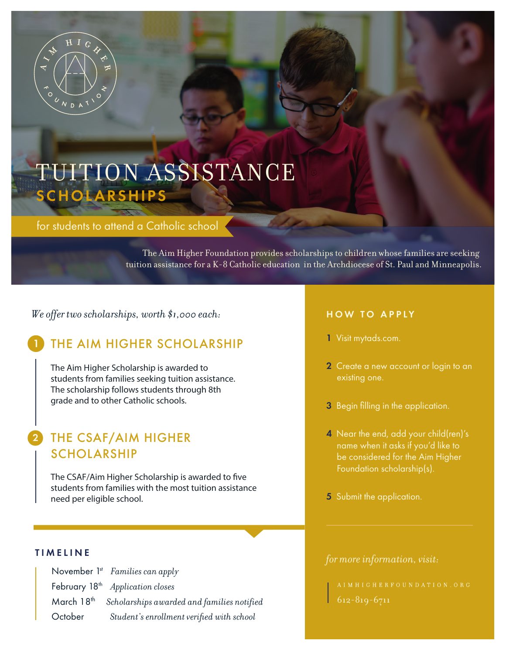

# TUITION ASSISTANCE SCHOLARSHIPS

for students to attend a Catholic school

The Aim Higher Foundation provides scholarships to children whose families are seeking tuition assistance for a K-8 Catholic education in the Archdiocese of St. Paul and Minneapolis.

*We offer two scholarships, worth \$1,000 each:*

# THE AIM HIGHER SCHOLARSHIP

The Aim Higher Scholarship is awarded to students from families seeking tuition assistance. The scholarship follows students through 8th grade and to other Catholic schools.

# 2 THE CSAF/AIM HIGHER SCHOLARSHIP

The CSAF/Aim Higher Scholarship is awarded to five students from families with the most tuition assistance need per eligible school.

|            | November $1st$ Families can apply            |
|------------|----------------------------------------------|
|            | February 18 <sup>th</sup> Application closes |
| March 18th | Scholarships awarded and families notified   |
| October    | Student's enrollment verified with school    |

### HOW TO APPLY

- 1 Visit mytads.com.
- 2 Create a new account or login to an
- 3 Begin filling in the application.
- 4 Near the end, add your child(ren)'s name when it asks if you'd like to be considered for the Aim Higher Foundation scholarship(s).
- 5 Submit the application.

# *for more information, visit:* TIMELINE